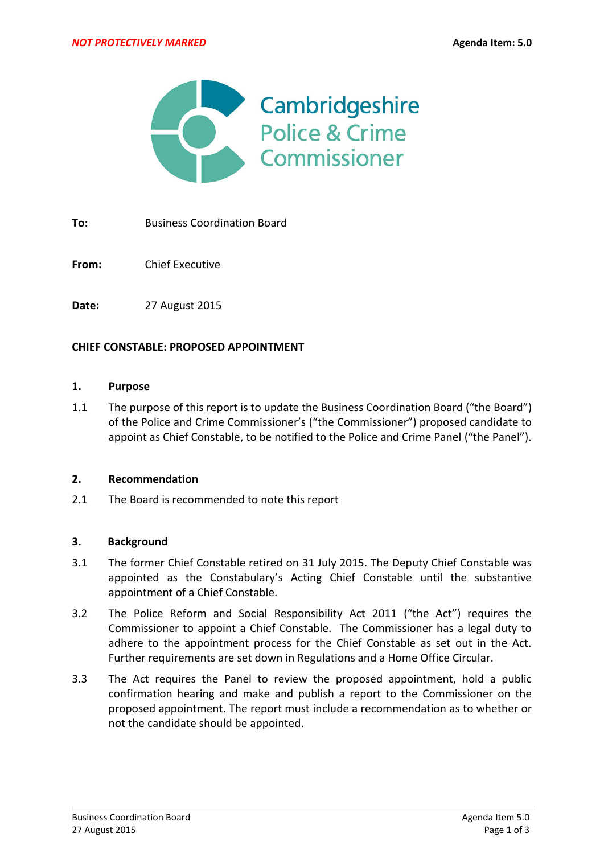

**To:** Business Coordination Board

**From:** Chief Executive

**Date:** 27 August 2015

#### **CHIEF CONSTABLE: PROPOSED APPOINTMENT**

### **1. Purpose**

1.1 The purpose of this report is to update the Business Coordination Board ("the Board") of the Police and Crime Commissioner's ("the Commissioner") proposed candidate to appoint as Chief Constable, to be notified to the Police and Crime Panel ("the Panel").

#### **2. Recommendation**

2.1 The Board is recommended to note this report

#### **3. Background**

- 3.1 The former Chief Constable retired on 31 July 2015. The Deputy Chief Constable was appointed as the Constabulary's Acting Chief Constable until the substantive appointment of a Chief Constable.
- 3.2 The Police Reform and Social Responsibility Act 2011 ("the Act") requires the Commissioner to appoint a Chief Constable. The Commissioner has a legal duty to adhere to the appointment process for the Chief Constable as set out in the Act. Further requirements are set down in Regulations and a Home Office Circular.
- 3.3 The Act requires the Panel to review the proposed appointment, hold a public confirmation hearing and make and publish a report to the Commissioner on the proposed appointment. The report must include a recommendation as to whether or not the candidate should be appointed.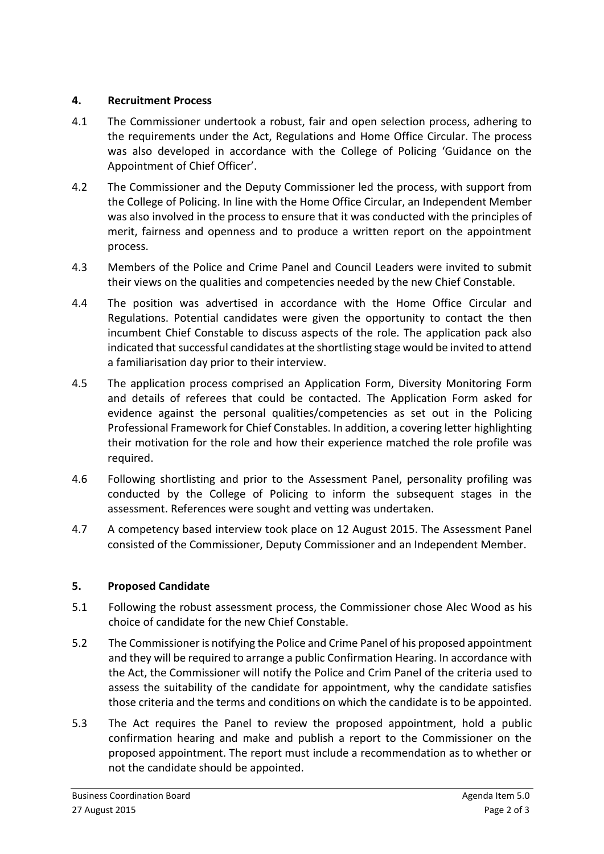## **4. Recruitment Process**

- 4.1 The Commissioner undertook a robust, fair and open selection process, adhering to the requirements under the Act, Regulations and Home Office Circular. The process was also developed in accordance with the College of Policing 'Guidance on the Appointment of Chief Officer'.
- 4.2 The Commissioner and the Deputy Commissioner led the process, with support from the College of Policing. In line with the Home Office Circular, an Independent Member was also involved in the process to ensure that it was conducted with the principles of merit, fairness and openness and to produce a written report on the appointment process.
- 4.3 Members of the Police and Crime Panel and Council Leaders were invited to submit their views on the qualities and competencies needed by the new Chief Constable.
- 4.4 The position was advertised in accordance with the Home Office Circular and Regulations. Potential candidates were given the opportunity to contact the then incumbent Chief Constable to discuss aspects of the role. The application pack also indicated that successful candidates at the shortlisting stage would be invited to attend a familiarisation day prior to their interview.
- 4.5 The application process comprised an Application Form, Diversity Monitoring Form and details of referees that could be contacted. The Application Form asked for evidence against the personal qualities/competencies as set out in the Policing Professional Framework for Chief Constables. In addition, a covering letter highlighting their motivation for the role and how their experience matched the role profile was required.
- 4.6 Following shortlisting and prior to the Assessment Panel, personality profiling was conducted by the College of Policing to inform the subsequent stages in the assessment. References were sought and vetting was undertaken.
- 4.7 A competency based interview took place on 12 August 2015. The Assessment Panel consisted of the Commissioner, Deputy Commissioner and an Independent Member.

# **5. Proposed Candidate**

- 5.1 Following the robust assessment process, the Commissioner chose Alec Wood as his choice of candidate for the new Chief Constable.
- 5.2 The Commissioner is notifying the Police and Crime Panel of his proposed appointment and they will be required to arrange a public Confirmation Hearing. In accordance with the Act, the Commissioner will notify the Police and Crim Panel of the criteria used to assess the suitability of the candidate for appointment, why the candidate satisfies those criteria and the terms and conditions on which the candidate is to be appointed.
- 5.3 The Act requires the Panel to review the proposed appointment, hold a public confirmation hearing and make and publish a report to the Commissioner on the proposed appointment. The report must include a recommendation as to whether or not the candidate should be appointed.